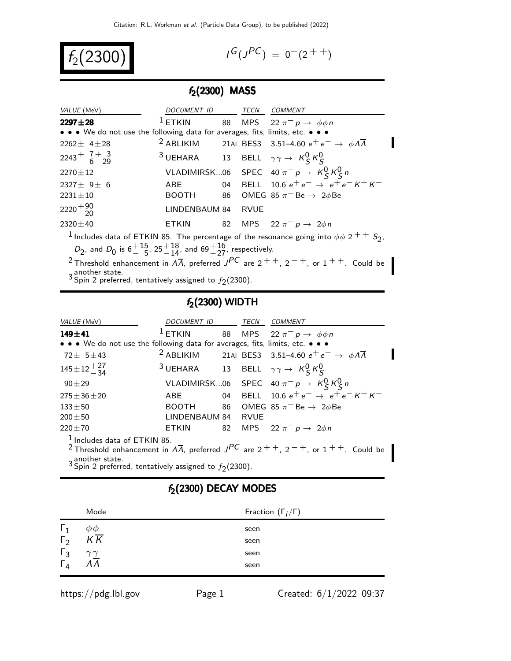$f_2(2300)$  |

$$
G(J^{PC}) = 0^+(2^{++})
$$

## $f_2(2300)$  MASS

| VALUE (MeV)                                                                                                                                 | DOCUMENT ID TECN COMMENT                                            |  |             |                                                                                               |  |  |
|---------------------------------------------------------------------------------------------------------------------------------------------|---------------------------------------------------------------------|--|-------------|-----------------------------------------------------------------------------------------------|--|--|
| $2297 + 28$                                                                                                                                 | $1$ ETKIN                                                           |  |             | 88 MPS 22 $\pi^ p \rightarrow \phi \phi n$                                                    |  |  |
| • • • We do not use the following data for averages, fits, limits, etc. • • •                                                               |                                                                     |  |             |                                                                                               |  |  |
| $2262 \pm 4 \pm 28$                                                                                                                         |                                                                     |  |             | <sup>2</sup> ABLIKIM 21AI BES3 3.51-4.60 $e^+e^- \rightarrow \phi \Lambda \overline{\Lambda}$ |  |  |
| $2243 + 7 + 3$                                                                                                                              | <sup>3</sup> UEHARA 13 BELL $\gamma \gamma \rightarrow K_S^0 K_S^0$ |  |             |                                                                                               |  |  |
| $2270 \pm 12$                                                                                                                               |                                                                     |  |             | VLADIMIRSK06 SPEC 40 $\pi^- p \to K^0_S K^0_S n$                                              |  |  |
| 2327 $\pm$ 9 $\pm$ 6                                                                                                                        | ABE                                                                 |  |             | 04 BELL 10.6 $e^+e^- \rightarrow e^+e^ \overline{e^+e^-}$ $\overline{K^+K^-}$                 |  |  |
| $2231 \pm 10$                                                                                                                               |                                                                     |  |             | BOOTH 86 OMEG 85 $\pi$ <sup>-</sup> Be $\rightarrow$ 2 $\phi$ Be                              |  |  |
| $2220 + \frac{90}{20}$                                                                                                                      | LINDENBAUM 84                                                       |  | <b>RVUE</b> |                                                                                               |  |  |
| $2320 \pm 40$                                                                                                                               | ETKIN                                                               |  |             | 82 MPS 22 $\pi^-$ p $\rightarrow$ 2 $\phi$ n                                                  |  |  |
| <sup>1</sup> Includes data of ETKIN 85. The percentage of the resonance going into $\phi \phi$ 2 $^{++}$ S <sub>2</sub> ,                   |                                                                     |  |             |                                                                                               |  |  |
| $D_2$ , and $D_0$ is 6 $\frac{15}{5}$ , 25 $\frac{18}{14}$ , and 69 $\frac{16}{27}$ , respectively.                                         |                                                                     |  |             |                                                                                               |  |  |
| <sup>2</sup> Threshold enhancement in $\overline{A}$ , preferred $\overline{J}$ are $2$ + +, $2$ - +, or $1$ + +. Could be<br>another state |                                                                     |  |             |                                                                                               |  |  |

3 another state.<br><sup>3</sup> Spin 2 preferred, tentatively assigned to  $f_2(2300)$ .

## $f_2(2300)$  WIDTH

| <i>VALUE</i> (MeV)                                                                                                                                                                                                                      | DOCUMENT ID TECN COMMENT                                            |  |  |                                                                                               |  |
|-----------------------------------------------------------------------------------------------------------------------------------------------------------------------------------------------------------------------------------------|---------------------------------------------------------------------|--|--|-----------------------------------------------------------------------------------------------|--|
| $149 + 41$                                                                                                                                                                                                                              | $1$ ETKIN                                                           |  |  | 88 MPS 22 $\pi^- p \rightarrow \phi \phi n$                                                   |  |
| • • • We do not use the following data for averages, fits, limits, etc. • • •                                                                                                                                                           |                                                                     |  |  |                                                                                               |  |
| $72 \pm 5 \pm 43$                                                                                                                                                                                                                       |                                                                     |  |  | <sup>2</sup> ABLIKIM 21AI BES3 3.51-4.60 $e^+e^- \rightarrow \phi \Lambda \overline{\Lambda}$ |  |
| $145 \pm 12 + 27 \atop -34$                                                                                                                                                                                                             | <sup>3</sup> UEHARA 13 BELL $\gamma \gamma \rightarrow K_S^0 K_S^0$ |  |  |                                                                                               |  |
| $90 + 29$                                                                                                                                                                                                                               |                                                                     |  |  | VLADIMIRSK06 SPEC 40 $\pi^- p \to K^0_S K^0_S n$                                              |  |
| $275 \pm 36 \pm 20$                                                                                                                                                                                                                     | ABE                                                                 |  |  | 04 BELL 10.6 $e^+e^- \rightarrow e^+e^- K^+ K^-$                                              |  |
| $133 + 50$                                                                                                                                                                                                                              |                                                                     |  |  | BOOTH 86 OMEG 85 $\pi$ <sup>-</sup> Be $\rightarrow$ 2 $\phi$ Be                              |  |
| $200 \pm 50$                                                                                                                                                                                                                            | LINDENBAUM 84 RVUE                                                  |  |  |                                                                                               |  |
| $220 \pm 70$                                                                                                                                                                                                                            | <b>ETKIN</b>                                                        |  |  | 82 MPS 22 $\pi^{-} p \to 2\phi n$                                                             |  |
| $1$ Includes data of ETKIN 85.<br><sup>2</sup> Threshold enhancement in $\Lambda \overline{\Lambda}$ , preferred $J^{PC}$ are $2^{++}$ , $2^{-+}$ , or $1^{++}$ . Could be<br>3 Spin 2 preferred, tentatively assigned to $f_2(2300)$ . |                                                                     |  |  |                                                                                               |  |

# $f_2(2300)$  DECAY MODES

|                      | Mode                            | Fraction $(\Gamma_i/\Gamma)$ |
|----------------------|---------------------------------|------------------------------|
| $\frac{1}{\sqrt{2}}$ | $\varphi_{\underline{\varphi}}$ | seen                         |
|                      | $K\overline{K}$                 | seen                         |
| $\Gamma_3$           | $\gamma\gamma$                  | seen                         |
|                      | 171                             | seen                         |
|                      |                                 |                              |